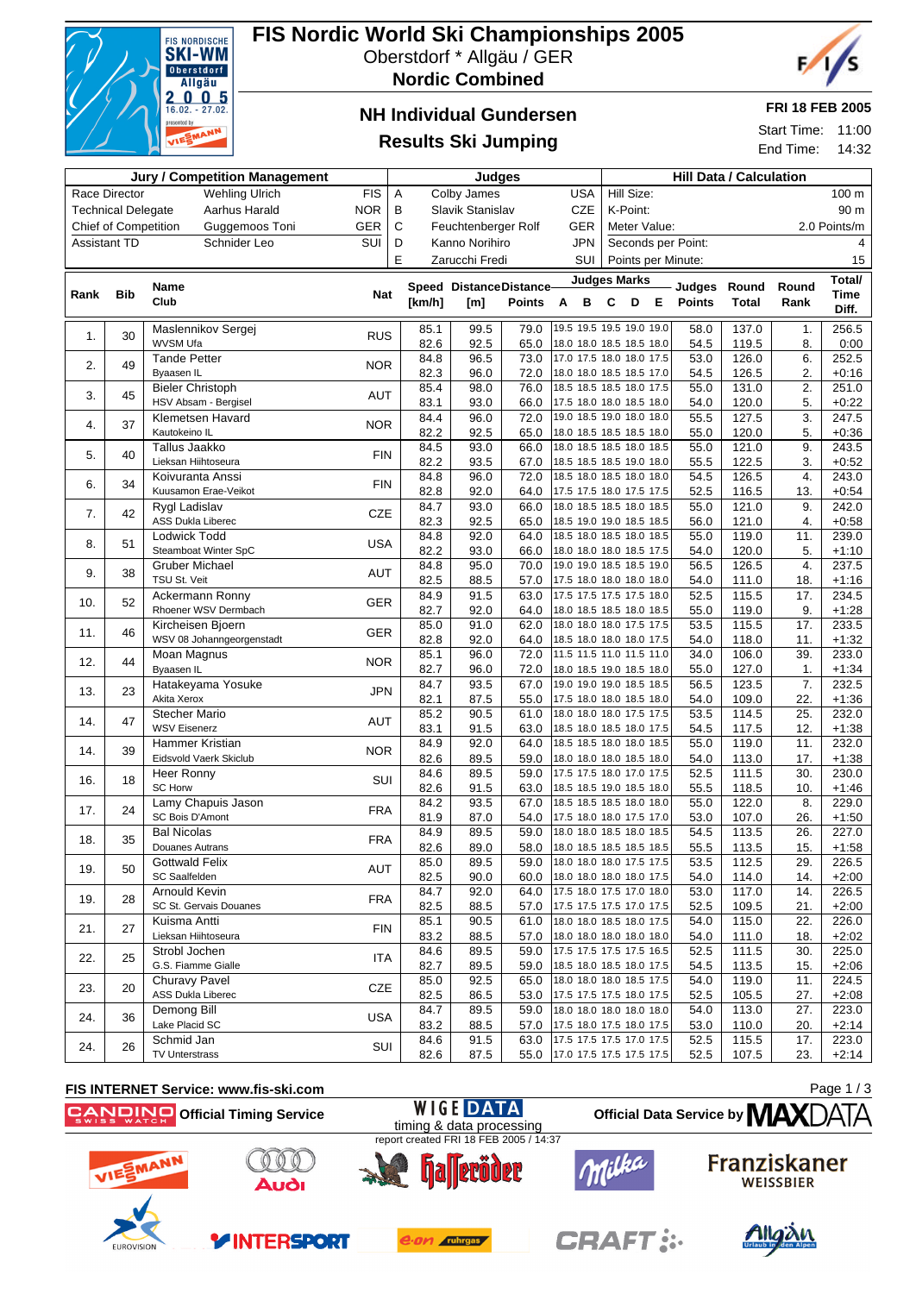

### **FIS Nordic World Ski Championships 2005** Oberstdorf \* Allgäu / GER





**FRI 18 FEB 2005**

Start Time: 11:00 End Time: 14:32

# **NH Individual Gundersen**

#### **Results Ski Jumping**

|      |                             | <b>Jury / Competition Management</b>      |            |   |              | Judges              |                         |                                                      |                     |              |                    |                | <b>Hill Data / Calculation</b><br>Round<br>Rank<br>1.<br>8.<br>6.<br>2.<br>2.<br>5.<br>3.<br>5.<br>$\overline{9}$ .<br>3.<br>$\overline{4}$ .<br>116.5<br>13.<br>9.<br>4.<br>11.<br>5.<br>$\overline{4}$ .<br>18.<br>17.<br>9.<br>17.<br>11.<br>39.<br>127.0<br>1.<br>7.<br>22.<br>25.<br>12.<br>11.<br>17.<br>30.<br>10.<br>8.<br>107.0<br>26.<br>26. |                  |  |  |  |
|------|-----------------------------|-------------------------------------------|------------|---|--------------|---------------------|-------------------------|------------------------------------------------------|---------------------|--------------|--------------------|----------------|--------------------------------------------------------------------------------------------------------------------------------------------------------------------------------------------------------------------------------------------------------------------------------------------------------------------------------------------------------|------------------|--|--|--|
|      | Race Director               | <b>Wehling Ulrich</b>                     | <b>FIS</b> | Α |              | Colby James         |                         | <b>USA</b>                                           | Hill Size:          |              |                    |                |                                                                                                                                                                                                                                                                                                                                                        | 100 m            |  |  |  |
|      | <b>Technical Delegate</b>   | Aarhus Harald                             | <b>NOR</b> | в |              | Slavik Stanislav    |                         | <b>CZE</b>                                           | K-Point:            |              |                    |                |                                                                                                                                                                                                                                                                                                                                                        | 90 m             |  |  |  |
|      | <b>Chief of Competition</b> | Guggemoos Toni                            | GER        | C |              | Feuchtenberger Rolf |                         | <b>GER</b>                                           |                     | Meter Value: |                    |                |                                                                                                                                                                                                                                                                                                                                                        | 2.0 Points/m     |  |  |  |
|      | <b>Assistant TD</b>         | Schnider Leo                              | SUI        | D |              | Kanno Norihiro      |                         | <b>JPN</b>                                           |                     |              | Seconds per Point: |                |                                                                                                                                                                                                                                                                                                                                                        | 4                |  |  |  |
|      |                             |                                           |            | E |              | Zarucchi Fredi      |                         | SUI                                                  |                     |              | Points per Minute: |                |                                                                                                                                                                                                                                                                                                                                                        | 15               |  |  |  |
|      |                             |                                           |            |   |              |                     |                         |                                                      | <b>Judges Marks</b> |              |                    |                |                                                                                                                                                                                                                                                                                                                                                        |                  |  |  |  |
| Rank | <b>Bib</b>                  | <b>Name</b>                               | <b>Nat</b> |   |              |                     | Speed DistanceDistance- |                                                      |                     |              | Judges             | Round          |                                                                                                                                                                                                                                                                                                                                                        | Total/<br>Time   |  |  |  |
|      |                             | Club                                      |            |   | [km/h]       | [m]                 | <b>Points</b>           | A B C                                                |                     | D E          | <b>Points</b>      | <b>Total</b>   |                                                                                                                                                                                                                                                                                                                                                        | Diff.            |  |  |  |
|      |                             | Maslennikov Sergej                        |            |   | 85.1         | 99.5                | 79.0                    | 19.5 19.5 19.5 19.0 19.0                             |                     |              | 58.0               | 137.0          |                                                                                                                                                                                                                                                                                                                                                        | 256.5            |  |  |  |
| 1.   | 30                          | <b>WVSM Ufa</b>                           | <b>RUS</b> |   | 82.6         | 92.5                | 65.0                    | 18.0 18.0 18.5 18.5 18.0                             |                     |              | 54.5               | 119.5          |                                                                                                                                                                                                                                                                                                                                                        | 0:00             |  |  |  |
|      |                             | <b>Tande Petter</b>                       |            |   | 84.8         | 96.5                | 73.0                    | 17.0 17.5 18.0 18.0 17.5                             |                     |              | 53.0               | 126.0          |                                                                                                                                                                                                                                                                                                                                                        | 252.5            |  |  |  |
| 2.   | 49                          | Byaasen IL                                | <b>NOR</b> |   | 82.3         | 96.0                | 72.0                    | 18.0 18.0 18.5 18.5 17.0                             |                     |              | 54.5               | 126.5          |                                                                                                                                                                                                                                                                                                                                                        | $+0:16$          |  |  |  |
|      |                             | <b>Bieler Christoph</b>                   |            |   | 85.4         | 98.0                | 76.0                    | 18.5 18.5 18.5 18.0 17.5                             |                     |              | 55.0               | 131.0          |                                                                                                                                                                                                                                                                                                                                                        | 251.0            |  |  |  |
| 3.   | 45                          | HSV Absam - Bergisel                      | AUT        |   | 83.1         | 93.0                | 66.0                    | 17.5 18.0 18.0 18.5 18.0                             |                     |              | 54.0               | 120.0          |                                                                                                                                                                                                                                                                                                                                                        | $+0:22$          |  |  |  |
| 4.   | 37                          | Klemetsen Havard                          | <b>NOR</b> |   | 84.4         | 96.0                | 72.0                    | 19.0 18.5 19.0 18.0 18.0                             |                     |              | 55.5               | 127.5          |                                                                                                                                                                                                                                                                                                                                                        | 247.5            |  |  |  |
|      |                             | Kautokeino IL                             |            |   | 82.2         | 92.5                | 65.0                    | 18.0 18.5 18.5 18.5 18.0                             |                     |              | 55.0               | 120.0          |                                                                                                                                                                                                                                                                                                                                                        | $+0:36$          |  |  |  |
| 5.   | 40                          | Tallus Jaakko                             | <b>FIN</b> |   | 84.5         | 93.0                | 66.0                    | 18.0 18.5 18.5 18.0 18.5                             |                     |              | 55.0               | 121.0          |                                                                                                                                                                                                                                                                                                                                                        | 243.5            |  |  |  |
|      |                             | Lieksan Hiihtoseura                       |            |   | 82.2         | 93.5                | 67.0                    | 18.5 18.5 18.5 19.0 18.0                             |                     |              | 55.5               | 122.5          |                                                                                                                                                                                                                                                                                                                                                        | $+0:52$          |  |  |  |
| 6.   | 34                          | Koivuranta Anssi                          | <b>FIN</b> |   | 84.8         | 96.0                | 72.0                    | 18.5 18.0 18.5 18.0 18.0<br>17.5 17.5 18.0 17.5 17.5 |                     |              | 54.5               | 126.5          |                                                                                                                                                                                                                                                                                                                                                        | 243.0            |  |  |  |
|      |                             | Kuusamon Erae-Veikot<br>Rygl Ladislav     |            |   | 82.8<br>84.7 | 92.0<br>93.0        | 64.0<br>66.0            | 18.0 18.5 18.5 18.0 18.5                             |                     |              | 52.5<br>55.0       | 121.0          |                                                                                                                                                                                                                                                                                                                                                        | $+0:54$<br>242.0 |  |  |  |
| 7.   | 42                          | <b>ASS Dukla Liberec</b>                  | CZE        |   | 82.3         | 92.5                | 65.0                    | 18.5 19.0 19.0 18.5 18.5                             |                     |              | 56.0               | 121.0          |                                                                                                                                                                                                                                                                                                                                                        | $+0:58$          |  |  |  |
|      |                             | Lodwick Todd                              |            |   | 84.8         | 92.0                | 64.0                    | 18.5 18.0 18.5 18.0 18.5                             |                     |              | 55.0               | 119.0          |                                                                                                                                                                                                                                                                                                                                                        | 239.0            |  |  |  |
| 8.   | 51                          | Steamboat Winter SpC                      | <b>USA</b> |   | 82.2         | 93.0                | 66.0                    | 18.0 18.0 18.0 18.5 17.5                             |                     |              | 54.0               | 120.0          |                                                                                                                                                                                                                                                                                                                                                        | $+1:10$          |  |  |  |
|      |                             | <b>Gruber Michael</b>                     |            |   | 84.8         | 95.0                | 70.0                    | 19.0 19.0 18.5 18.5 19.0                             |                     |              | 56.5               | 126.5          |                                                                                                                                                                                                                                                                                                                                                        | 237.5            |  |  |  |
| 9.   | 38                          | TSU St. Veit                              | AUT        |   | 82.5         | 88.5                | 57.0                    | 17.5 18.0 18.0 18.0 18.0                             |                     |              | 54.0               | 111.0          |                                                                                                                                                                                                                                                                                                                                                        | $+1:16$          |  |  |  |
| 10.  | 52                          | Ackermann Ronny                           | <b>GER</b> |   | 84.9         | 91.5                | 63.0                    | 17.5 17.5 17.5 17.5 18.0                             |                     |              | 52.5               | 115.5          |                                                                                                                                                                                                                                                                                                                                                        | 234.5            |  |  |  |
|      |                             | Rhoener WSV Dermbach                      |            |   | 82.7         | 92.0                | 64.0                    | 18.0 18.5 18.5 18.0 18.5                             |                     |              | 55.0               | 119.0          |                                                                                                                                                                                                                                                                                                                                                        | $+1:28$          |  |  |  |
| 11.  | 46                          | Kircheisen Bjoern                         | <b>GER</b> |   | 85.0         | 91.0                | 62.0                    | 18.0 18.0 18.0 17.5 17.5                             |                     |              | 53.5               | 115.5          |                                                                                                                                                                                                                                                                                                                                                        | 233.5            |  |  |  |
|      |                             | WSV 08 Johanngeorgenstadt                 |            |   | 82.8         | 92.0                | 64.0                    | 18.5 18.0 18.0 18.0 17.5<br>11.5 11.5 11.0 11.5 11.0 |                     |              | 54.0               | 118.0          |                                                                                                                                                                                                                                                                                                                                                        | $+1:32$          |  |  |  |
| 12.  | 44                          | Moan Magnus<br>Byaasen IL                 | <b>NOR</b> |   | 85.1<br>82.7 | 96.0<br>96.0        | 72.0<br>72.0            | 18.0 18.5 19.0 18.5 18.0                             |                     |              | 34.0<br>55.0       | 106.0          |                                                                                                                                                                                                                                                                                                                                                        | 233.0<br>$+1:34$ |  |  |  |
|      |                             | Hatakeyama Yosuke                         |            |   | 84.7         | 93.5                | 67.0                    | 19.0 19.0 19.0 18.5 18.5                             |                     |              | 56.5               | 123.5          |                                                                                                                                                                                                                                                                                                                                                        | 232.5            |  |  |  |
| 13.  | 23                          | Akita Xerox                               | <b>JPN</b> |   | 82.1         | 87.5                | 55.0                    | 17.5 18.0 18.0 18.5 18.0                             |                     |              | 54.0               | 109.0          |                                                                                                                                                                                                                                                                                                                                                        | $+1:36$          |  |  |  |
|      |                             | <b>Stecher Mario</b>                      |            |   | 85.2         | 90.5                | 61.0                    | 18.0 18.0 18.0 17.5 17.5                             |                     |              | 53.5               | 114.5          |                                                                                                                                                                                                                                                                                                                                                        | 232.0            |  |  |  |
| 14.  | 47                          | <b>WSV Eisenerz</b>                       | AUT        |   | 83.1         | 91.5                | 63.0                    | 18.5 18.0 18.5 18.0 17.5                             |                     |              | 54.5               | 117.5          |                                                                                                                                                                                                                                                                                                                                                        | $+1:38$          |  |  |  |
| 14.  | 39                          | Hammer Kristian                           | <b>NOR</b> |   | 84.9         | 92.0                | 64.0                    | 18.5 18.5 18.0 18.0 18.5                             |                     |              | 55.0               | 119.0          |                                                                                                                                                                                                                                                                                                                                                        | 232.0            |  |  |  |
|      |                             | Eidsvold Vaerk Skiclub                    |            |   | 82.6         | 89.5                | 59.0                    | 18.0 18.0 18.0 18.5 18.0                             |                     |              | 54.0               | 113.0          |                                                                                                                                                                                                                                                                                                                                                        | $+1:38$          |  |  |  |
| 16.  | 18                          | Heer Ronny                                | SUI        |   | 84.6         | 89.5                | 59.0                    | 17.5 17.5 18.0 17.0 17.5                             |                     |              | 52.5               | 111.5          |                                                                                                                                                                                                                                                                                                                                                        | 230.0            |  |  |  |
|      |                             | <b>SC Horw</b>                            |            |   | 82.6         | 91.5                | 63.0                    | 18.5 18.5 19.0 18.5 18.0                             |                     |              | 55.5               | 118.5          |                                                                                                                                                                                                                                                                                                                                                        | $+1:46$          |  |  |  |
| 17.  | 24                          | Lamy Chapuis Jason<br>SC Bois D'Amont     | <b>FRA</b> |   | 84.2         | 93.5                | 67.0                    | 18.5 18.5 18.5 18.0 18.0                             |                     |              | 55.0               | 122.0          |                                                                                                                                                                                                                                                                                                                                                        | 229.0            |  |  |  |
|      |                             | <b>Bal Nicolas</b>                        |            |   | 81.9<br>84.9 | 87.0<br>89.5        | 54.0<br>59.0            | 17.5 18.0 18.0 17.5 17.0<br>18.0 18.0 18.5 18.0 18.5 |                     |              | 53.0<br>54.5       | 113.5          |                                                                                                                                                                                                                                                                                                                                                        | $+1:50$<br>227.0 |  |  |  |
| 18.  | 35                          | Douanes Autrans                           | <b>FRA</b> |   | 82.6         | 89.0                | 58.0                    | 18.0 18.5 18.5 18.5 18.5                             |                     |              | 55.5               | 113.5          | 15.                                                                                                                                                                                                                                                                                                                                                    | $+1:58$          |  |  |  |
|      |                             | Gottwald Felix                            |            |   | 85.0         | 89.5                | 59.0                    | 18.0 18.0 18.0 17.5 17.5                             |                     |              | 53.5               | 112.5          | 29.                                                                                                                                                                                                                                                                                                                                                    | 226.5            |  |  |  |
| 19.  | 50                          | SC Saalfelden                             | <b>AUT</b> |   | 82.5         | 90.0                | 60.0                    | 18.0 18.0 18.0 18.0 17.5                             |                     |              | 54.0               | 114.0          | 14.                                                                                                                                                                                                                                                                                                                                                    | $+2:00$          |  |  |  |
|      | 28                          | Arnould Kevin                             | <b>FRA</b> |   | 84.7         | 92.0                | 64.0                    | 17.5 18.0 17.5 17.0 18.0                             |                     |              | 53.0               | 117.0          | 14.                                                                                                                                                                                                                                                                                                                                                    | 226.5            |  |  |  |
| 19.  |                             | SC St. Gervais Douanes                    |            |   | 82.5         | 88.5                | 57.0                    | 17.5 17.5 17.5 17.0 17.5                             |                     |              | 52.5               | 109.5          | 21.                                                                                                                                                                                                                                                                                                                                                    | $+2:00$          |  |  |  |
| 21.  | 27                          | Kuisma Antti                              | <b>FIN</b> |   | 85.1         | 90.5                | 61.0                    | 18.0 18.0 18.5 18.0 17.5                             |                     |              | 54.0               | 115.0          | 22.                                                                                                                                                                                                                                                                                                                                                    | 226.0            |  |  |  |
|      |                             | Lieksan Hiihtoseura                       |            |   | 83.2         | 88.5                | 57.0                    | 18.0 18.0 18.0 18.0 18.0                             |                     |              | 54.0               | 111.0          | 18.                                                                                                                                                                                                                                                                                                                                                    | $+2:02$          |  |  |  |
| 22.  | 25                          | Strobl Jochen                             | <b>ITA</b> |   | 84.6         | 89.5                | 59.0                    | 17.5 17.5 17.5 17.5 16.5                             |                     |              | 52.5               | 111.5          | 30.                                                                                                                                                                                                                                                                                                                                                    | 225.0            |  |  |  |
|      |                             | G.S. Fiamme Gialle                        |            |   | 82.7         | 89.5                | 59.0                    | 18.5 18.0 18.5 18.0 17.5                             |                     |              | 54.5               | 113.5          | 15.                                                                                                                                                                                                                                                                                                                                                    | $+2:06$          |  |  |  |
| 23.  | 20                          | Churavy Pavel<br><b>ASS Dukla Liberec</b> | CZE        |   | 85.0<br>82.5 | 92.5<br>86.5        | 65.0<br>53.0            | 18.0 18.0 18.0 18.5 17.5<br>17.5 17.5 17.5 18.0 17.5 |                     |              | 54.0<br>52.5       | 119.0<br>105.5 | 11.<br>27.                                                                                                                                                                                                                                                                                                                                             | 224.5<br>$+2:08$ |  |  |  |
|      |                             | Demong Bill                               |            |   | 84.7         | 89.5                | 59.0                    | 18.0 18.0 18.0 18.0 18.0                             |                     |              | 54.0               | 113.0          | 27.                                                                                                                                                                                                                                                                                                                                                    | 223.0            |  |  |  |
| 24.  | 36                          | Lake Placid SC                            | <b>USA</b> |   | 83.2         | 88.5                | 57.0                    | 17.5 18.0 17.5 18.0 17.5                             |                     |              | 53.0               | 110.0          | 20.                                                                                                                                                                                                                                                                                                                                                    | $+2:14$          |  |  |  |
|      |                             | Schmid Jan                                |            |   | 84.6         | 91.5                | 63.0                    | 17.5 17.5 17.5 17.0 17.5                             |                     |              | 52.5               | 115.5          | 17.                                                                                                                                                                                                                                                                                                                                                    | 223.0            |  |  |  |
| 24.  | 26                          | <b>TV Unterstrass</b>                     | SUI        |   | 82.6         | 87.5                | 55.0                    | 17.0 17.5 17.5 17.5 17.5                             |                     |              | 52.5               | 107.5          | 23.                                                                                                                                                                                                                                                                                                                                                    | $+2:14$          |  |  |  |

#### **FIS INTERNET Service: www.fis-ski.com**

**Official Timing Service**

Page 1 / 3



**EUROVISIOI** 



**YINTERSPORT** 



e.on ruhrgas

**WIGE DATA** 







**Official Data Service by MAX** 

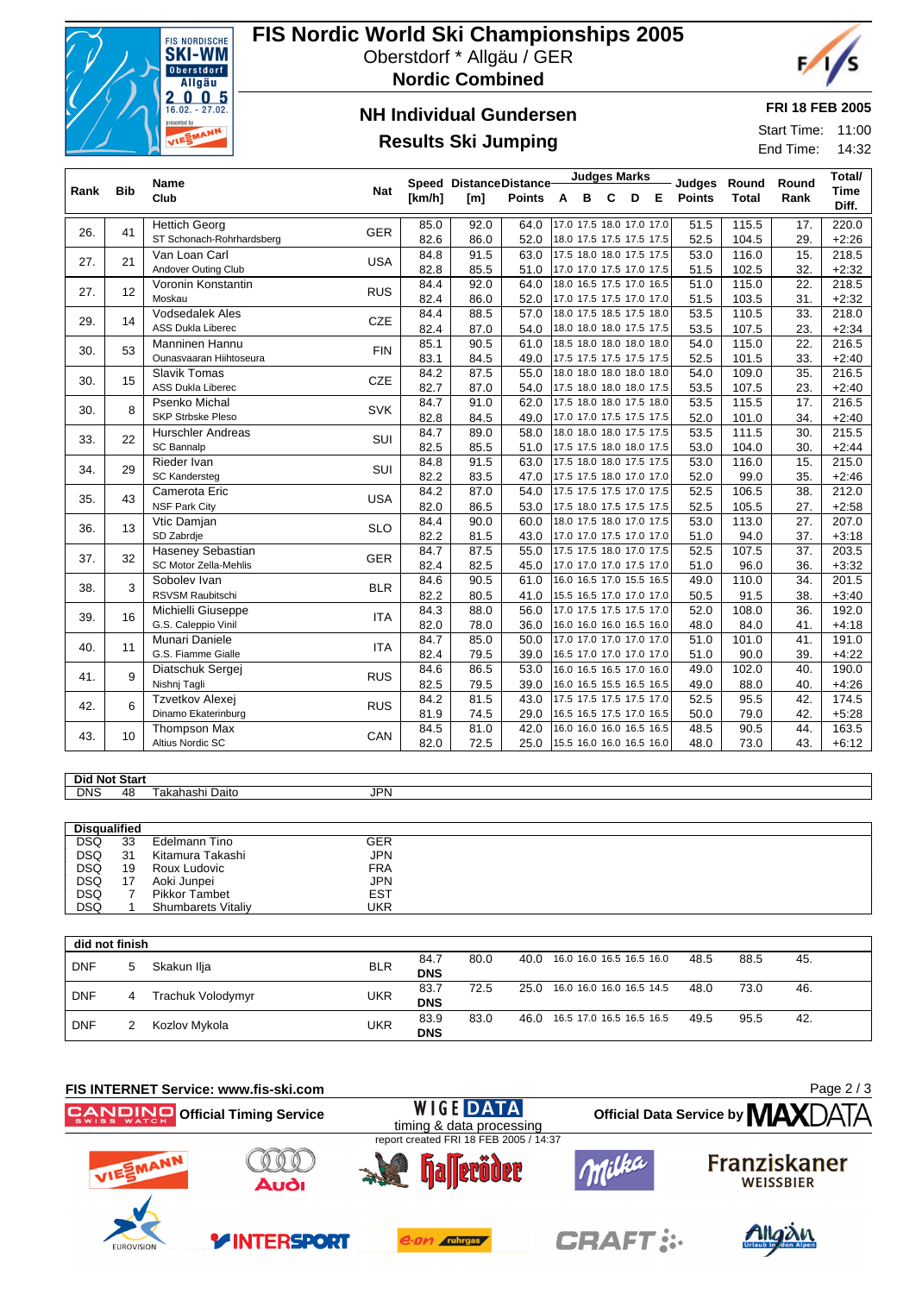

## **FIS Nordic World Ski Championships 2005**

Oberstdorf \* Allgäu / GER

**Nordic Combined**

#### **NH Individual Gundersen Results Ski Jumping**



**FRI 18 FEB 2005**

Start Time: 11:00 End Time: 14:32

|      |            |                                            |            |              |                                             |               |          |   | <b>Judges Marks</b>                                  |   |   |                         |                       |                                                                                                                                                                                                                                                                                         | Total/               |
|------|------------|--------------------------------------------|------------|--------------|---------------------------------------------|---------------|----------|---|------------------------------------------------------|---|---|-------------------------|-----------------------|-----------------------------------------------------------------------------------------------------------------------------------------------------------------------------------------------------------------------------------------------------------------------------------------|----------------------|
| Rank | <b>Bib</b> | <b>Name</b><br>Club                        | <b>Nat</b> | [km/h]       | Speed DistanceDistance-<br>[ <sub>m</sub> ] | <b>Points</b> | <b>A</b> | B | C                                                    | D | E | Judges<br><b>Points</b> | Round<br><b>Total</b> | Round<br>Rank<br>17.<br>29.<br>15.<br>32.<br>22.<br>31.<br>33.<br>23.<br>22.<br>33.<br>35.<br>23.<br>$\overline{17}$ .<br>34.<br>30.<br>30.<br>15.<br>35.<br>38.<br>27.<br>27.<br>37.<br>37.<br>36.<br>34.<br>38.<br>36.<br>41.<br>41.<br>39.<br>40.<br>40.<br>42.<br>42.<br>44.<br>43. | <b>Time</b><br>Diff. |
| 26.  | 41         | <b>Hettich Georg</b>                       | <b>GER</b> | 85.0         | 92.0                                        | 64.0          |          |   | 17.0 17.5 18.0 17.0 17.0                             |   |   | 51.5                    | 115.5                 |                                                                                                                                                                                                                                                                                         | 220.0                |
|      |            | ST Schonach-Rohrhardsberg<br>Van Loan Carl |            | 82.6<br>84.8 | 86.0<br>91.5                                | 52.0<br>63.0  |          |   | 18.0 17.5 17.5 17.5 17.5<br>17.5 18.0 18.0 17.5 17.5 |   |   | 52.5<br>53.0            | 104.5<br>116.0        |                                                                                                                                                                                                                                                                                         | $+2:26$              |
| 27.  | 21         |                                            | <b>USA</b> | 82.8         |                                             | 51.0          |          |   | 17.0 17.0 17.5 17.0 17.5                             |   |   |                         | 102.5                 |                                                                                                                                                                                                                                                                                         | 218.5<br>$+2:32$     |
|      |            | Andover Outing Club<br>Voronin Konstantin  |            | 84.4         | 85.5<br>92.0                                | 64.0          |          |   | 18.0 16.5 17.5 17.0 16.5                             |   |   | 51.5<br>51.0            | 115.0                 |                                                                                                                                                                                                                                                                                         | 218.5                |
| 27.  | 12         | Moskau                                     | <b>RUS</b> | 82.4         | 86.0                                        | 52.0          |          |   | 17.0 17.5 17.5 17.0 17.0                             |   |   | 51.5                    | 103.5                 |                                                                                                                                                                                                                                                                                         | $+2:32$              |
|      |            | <b>Vodsedalek Ales</b>                     |            | 84.4         | 88.5                                        | 57.0          |          |   | 18.0 17.5 18.5 17.5 18.0                             |   |   | 53.5                    | 110.5                 |                                                                                                                                                                                                                                                                                         | 218.0                |
| 29.  | 14         | <b>ASS Dukla Liberec</b>                   | <b>CZE</b> | 82.4         | 87.0                                        | 54.0          |          |   | 18.0 18.0 18.0 17.5 17.5                             |   |   | 53.5                    | 107.5                 |                                                                                                                                                                                                                                                                                         | $+2:34$              |
|      | 53         | Manninen Hannu                             | <b>FIN</b> | 85.1         | 90.5                                        | 61.0          |          |   | 18.5 18.0 18.0 18.0 18.0                             |   |   | 54.0                    | 115.0                 |                                                                                                                                                                                                                                                                                         | 216.5                |
| 30.  |            | Ounasvaaran Hiihtoseura                    |            | 83.1         | 84.5                                        | 49.0          |          |   | 17.5 17.5 17.5 17.5 17.5                             |   |   | 52.5                    | 101.5                 |                                                                                                                                                                                                                                                                                         | $+2:40$              |
| 30.  | 15         | <b>Slavik Tomas</b>                        | <b>CZE</b> | 84.2         | 87.5                                        | 55.0          |          |   | 18.0 18.0 18.0 18.0 18.0                             |   |   | 54.0                    | 109.0                 |                                                                                                                                                                                                                                                                                         | 216.5                |
|      |            | <b>ASS Dukla Liberec</b>                   |            | 82.7         | 87.0                                        | 54.0          |          |   | 17.5 18.0 18.0 18.0 17.5                             |   |   | 53.5                    | 107.5                 |                                                                                                                                                                                                                                                                                         | $+2:40$              |
| 30.  | 8          | <b>Psenko Michal</b>                       | <b>SVK</b> | 84.7         | 91.0                                        | 62.0          |          |   | 17.5 18.0 18.0 17.5 18.0                             |   |   | 53.5                    | 115.5                 |                                                                                                                                                                                                                                                                                         | 216.5                |
|      |            | <b>SKP Strbske Pleso</b>                   |            | 82.8         | 84.5                                        | 49.0          |          |   | 17.0 17.0 17.5 17.5 17.5                             |   |   | 52.0                    | 101.0                 |                                                                                                                                                                                                                                                                                         | $+2:40$              |
| 33.  | 22         | Hurschler Andreas                          | SUI        | 84.7         | 89.0                                        | 58.0          |          |   | 18.0 18.0 18.0 17.5 17.5                             |   |   | 53.5                    | 111.5                 |                                                                                                                                                                                                                                                                                         | 215.5                |
|      |            | SC Bannalp                                 |            | 82.5         | 85.5                                        | 51.0          |          |   | 17.5 17.5 18.0 18.0 17.5                             |   |   | 53.0                    | 104.0                 |                                                                                                                                                                                                                                                                                         | $+2:44$              |
| 34.  | 29         | Rieder Ivan                                | SUI        | 84.8         | 91.5                                        | 63.0          |          |   | 17.5 18.0 18.0 17.5 17.5                             |   |   | 53.0                    | 116.0                 |                                                                                                                                                                                                                                                                                         | 215.0                |
|      |            | SC Kandersteg                              |            | 82.2         | 83.5                                        | 47.0          |          |   | 17.5 17.5 18.0 17.0 17.0                             |   |   | 52.0                    | 99.0                  |                                                                                                                                                                                                                                                                                         | $+2:46$              |
| 35.  | 43         | Camerota Eric                              | <b>USA</b> | 84.2         | 87.0                                        | 54.0          |          |   | 17.5 17.5 17.5 17.0 17.5                             |   |   | 52.5                    | 106.5                 |                                                                                                                                                                                                                                                                                         | 212.0                |
|      |            | <b>NSF Park City</b>                       |            | 82.0         | 86.5                                        | 53.0          |          |   | 17.5 18.0 17.5 17.5 17.5                             |   |   | 52.5                    | 105.5                 |                                                                                                                                                                                                                                                                                         | $+2:58$              |
| 36.  | 13         | Vtic Damjan                                | <b>SLO</b> | 84.4         | 90.0                                        | 60.0          |          |   | 18.0 17.5 18.0 17.0 17.5                             |   |   | 53.0                    | 113.0                 |                                                                                                                                                                                                                                                                                         | 207.0                |
|      |            | SD Zabrdje                                 |            | 82.2         | 81.5                                        | 43.0          |          |   | 17.0 17.0 17.5 17.0 17.0                             |   |   | 51.0                    | 94.0                  |                                                                                                                                                                                                                                                                                         | $+3:18$              |
| 37.  | 32         | Haseney Sebastian                          | <b>GER</b> | 84.7         | 87.5                                        | 55.0          |          |   | 17.5 17.5 18.0 17.0 17.5                             |   |   | 52.5                    | 107.5                 |                                                                                                                                                                                                                                                                                         | 203.5                |
|      |            | SC Motor Zella-Mehlis                      |            | 82.4         | 82.5                                        | 45.0          |          |   | 17.0 17.0 17.0 17.5 17.0                             |   |   | 51.0                    | 96.0                  |                                                                                                                                                                                                                                                                                         | $+3:32$              |
| 38.  | 3          | Sobolev Ivan                               | <b>BLR</b> | 84.6         | 90.5                                        | 61.0          |          |   | 16.0 16.5 17.0 15.5 16.5                             |   |   | 49.0                    | 110.0                 |                                                                                                                                                                                                                                                                                         | 201.5                |
|      |            | RSVSM Raubitschi                           |            | 82.2         | 80.5                                        | 41.0          |          |   | 15.5 16.5 17.0 17.0 17.0                             |   |   | 50.5                    | 91.5                  |                                                                                                                                                                                                                                                                                         | $+3:40$              |
| 39.  | 16         | Michielli Giuseppe<br>G.S. Caleppio Vinil  | <b>ITA</b> | 84.3<br>82.0 | 88.0<br>78.0                                | 56.0<br>36.0  |          |   | 17.0 17.5 17.5 17.5 17.0<br>16.0 16.0 16.0 16.5 16.0 |   |   | 52.0<br>48.0            | 108.0<br>84.0         |                                                                                                                                                                                                                                                                                         | 192.0<br>$+4:18$     |
|      |            | Munari Daniele                             |            | 84.7         | 85.0                                        | 50.0          |          |   | 17.0 17.0 17.0 17.0 17.0                             |   |   | 51.0                    | 101.0                 |                                                                                                                                                                                                                                                                                         | 191.0                |
| 40.  | 11         | G.S. Fiamme Gialle                         | <b>ITA</b> | 82.4         | 79.5                                        | 39.0          |          |   | 16.5 17.0 17.0 17.0 17.0                             |   |   | 51.0                    | 90.0                  |                                                                                                                                                                                                                                                                                         | $+4:22$              |
|      |            | Diatschuk Sergej                           |            | 84.6         | 86.5                                        | 53.0          |          |   | 16.0 16.5 16.5 17.0 16.0                             |   |   | 49.0                    | 102.0                 |                                                                                                                                                                                                                                                                                         | 190.0                |
| 41.  | 9          | Nishnj Tagli                               | <b>RUS</b> | 82.5         | 79.5                                        | 39.0          |          |   | 16.0 16.5 15.5 16.5 16.5                             |   |   | 49.0                    | 88.0                  |                                                                                                                                                                                                                                                                                         | $+4:26$              |
|      |            | Tzvetkov Alexej                            |            | 84.2         | 81.5                                        | 43.0          |          |   | 17.5 17.5 17.5 17.5 17.0                             |   |   | 52.5                    | 95.5                  |                                                                                                                                                                                                                                                                                         | 174.5                |
| 42.  | 6          | Dinamo Ekaterinburg                        | <b>RUS</b> | 81.9         | 74.5                                        | 29.0          |          |   | 16.5 16.5 17.5 17.0 16.5                             |   |   | 50.0                    | 79.0                  |                                                                                                                                                                                                                                                                                         | $+5:28$              |
|      |            | <b>Thompson Max</b>                        |            | 84.5         | 81.0                                        | 42.0          |          |   | 16.0 16.0 16.0 16.5 16.5                             |   |   | 48.5                    | 90.5                  |                                                                                                                                                                                                                                                                                         | 163.5                |
| 43.  | 10         | Altius Nordic SC                           | CAN        | 82.0         | 72.5                                        | 25.0          |          |   | 15.5 16.0 16.0 16.5 16.0                             |   |   | 48.0                    | 73.0                  |                                                                                                                                                                                                                                                                                         | $+6:12$              |
|      |            |                                            |            |              |                                             |               |          |   |                                                      |   |   |                         |                       |                                                                                                                                                                                                                                                                                         |                      |

**Did Not Start**

DNS 48 Takahashi Daito JPN

| <b>Disqualified</b> |    |                           |            |  |
|---------------------|----|---------------------------|------------|--|
| <b>DSQ</b>          | 33 | Edelmann Tino             | GER        |  |
| <b>DSQ</b>          | 31 | Kitamura Takashi          | JPN        |  |
| <b>DSQ</b>          | 19 | Roux Ludovic              | <b>FRA</b> |  |
| <b>DSQ</b>          | 17 | Aoki Junpei               | <b>JPN</b> |  |
| <b>DSQ</b>          |    | <b>Pikkor Tambet</b>      | <b>EST</b> |  |
| <b>DSQ</b>          |    | <b>Shumbarets Vitaliv</b> | UKR        |  |

| did not finish |   |                   |            |            |      |                               |      |      |     |  |
|----------------|---|-------------------|------------|------------|------|-------------------------------|------|------|-----|--|
| <b>DNF</b>     | 5 | Skakun Ilja       | <b>BLR</b> | 84.7       | 80.0 | 40.0 16.0 16.0 16.5 16.5 16.0 | 48.5 | 88.5 | 45. |  |
|                |   |                   |            | <b>DNS</b> |      |                               |      |      |     |  |
| <b>DNF</b>     | 4 | Trachuk Volodymyr | <b>UKR</b> | 83.7       | 72.5 | 25.0 16.0 16.0 16.0 16.5 14.5 | 48.0 | 73.0 | 46. |  |
|                |   |                   |            | <b>DNS</b> |      |                               |      |      |     |  |
| <b>DNF</b>     |   | Kozlov Mykola     | UKR        | 83.9       | 83.0 | 46.0 16.5 17.0 16.5 16.5 16.5 | 49.5 | 95.5 | 42. |  |
|                |   |                   |            | <b>DNS</b> |      |                               |      |      |     |  |